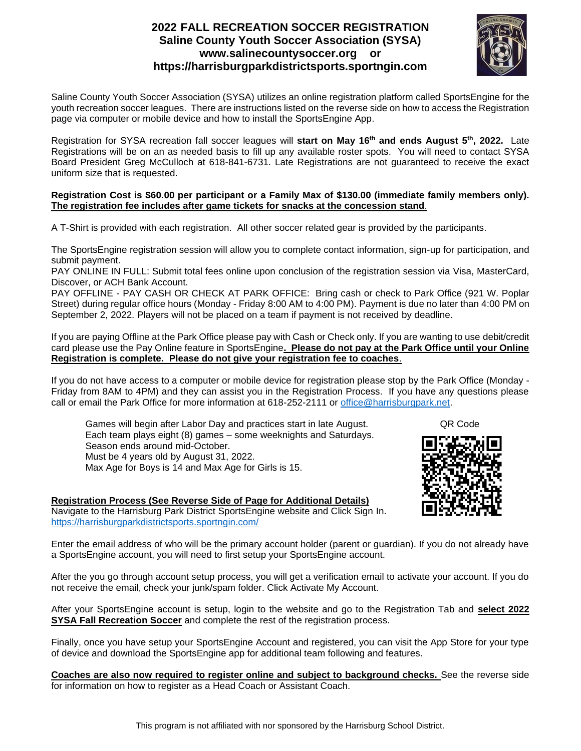# **2022 FALL RECREATION SOCCER REGISTRATION Saline County Youth Soccer Association (SYSA) www.salinecountysoccer.org or https://harrisburgparkdistrictsports.sportngin.com**



Saline County Youth Soccer Association (SYSA) utilizes an online registration platform called SportsEngine for the youth recreation soccer leagues. There are instructions listed on the reverse side on how to access the Registration page via computer or mobile device and how to install the SportsEngine App.

Registration for SYSA recreation fall soccer leagues will **start on May 16th and ends August 5th, 2022.** Late Registrations will be on an as needed basis to fill up any available roster spots. You will need to contact SYSA Board President Greg McCulloch at 618-841-6731. Late Registrations are not guaranteed to receive the exact uniform size that is requested.

#### **Registration Cost is \$60.00 per participant or a Family Max of \$130.00 (immediate family members only). The registration fee includes after game tickets for snacks at the concession stand**.

A T-Shirt is provided with each registration. All other soccer related gear is provided by the participants.

The SportsEngine registration session will allow you to complete contact information, sign-up for participation, and submit payment.

PAY ONLINE IN FULL: Submit total fees online upon conclusion of the registration session via Visa, MasterCard, Discover, or ACH Bank Account.

PAY OFFLINE - PAY CASH OR CHECK AT PARK OFFICE: Bring cash or check to Park Office (921 W. Poplar Street) during regular office hours (Monday - Friday 8:00 AM to 4:00 PM). Payment is due no later than 4:00 PM on September 2, 2022. Players will not be placed on a team if payment is not received by deadline.

If you are paying Offline at the Park Office please pay with Cash or Check only. If you are wanting to use debit/credit card please use the Pay Online feature in SportsEngine**. Please do not pay at the Park Office until your Online Registration is complete. Please do not give your registration fee to coaches**.

If you do not have access to a computer or mobile device for registration please stop by the Park Office (Monday - Friday from 8AM to 4PM) and they can assist you in the Registration Process. If you have any questions please call or email the Park Office for more information at 618-252-2111 or [office@harrisburgpark.net.](mailto:office@harrisburgpark.net)

Games will begin after Labor Day and practices start in late August. QR Code Each team plays eight (8) games – some weeknights and Saturdays. Season ends around mid-October. Must be 4 years old by August 31, 2022. Max Age for Boys is 14 and Max Age for Girls is 15.



## **Registration Process (See Reverse Side of Page for Additional Details)**

Navigate to the Harrisburg Park District SportsEngine website and Click Sign In. <https://harrisburgparkdistrictsports.sportngin.com/>

Enter the email address of who will be the primary account holder (parent or guardian). If you do not already have a SportsEngine account, you will need to first setup your SportsEngine account.

After the you go through account setup process, you will get a verification email to activate your account. If you do not receive the email, check your junk/spam folder. Click Activate My Account.

After your SportsEngine account is setup, login to the website and go to the Registration Tab and **select 2022 SYSA Fall Recreation Soccer** and complete the rest of the registration process.

Finally, once you have setup your SportsEngine Account and registered, you can visit the App Store for your type of device and download the SportsEngine app for additional team following and features.

**Coaches are also now required to register online and subject to background checks.** See the reverse side for information on how to register as a Head Coach or Assistant Coach.